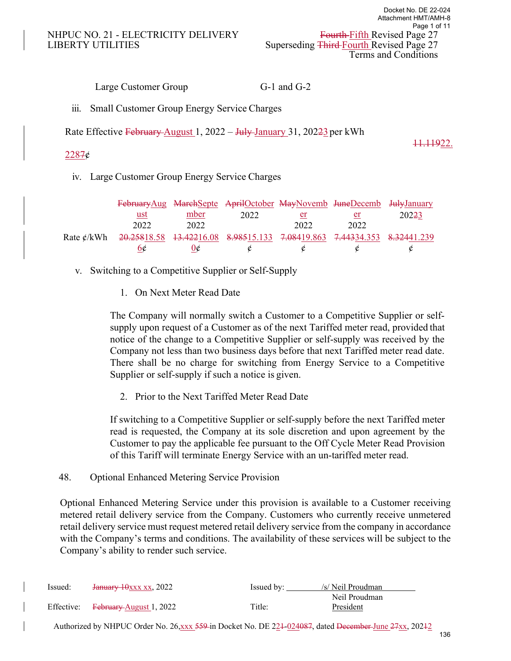Large Customer Group G-1 and G-2

iii. Small Customer Group Energy Service Charges

Rate Effective February August 1, 2022 – July January 31, 202<del>23</del> per kWh

## 11.11922.

# $2287¢$

iv. Large Customer Group Energy Service Charges

|            |      |      | February Aug MarchSepte AprilOctober MayNovemb JuneDecemb JulyJanuary   |      |      |       |
|------------|------|------|-------------------------------------------------------------------------|------|------|-------|
|            | ust  | mber | 2022                                                                    | er   | er   | 20223 |
|            | 2022 | 2022 |                                                                         | 2022 | 2022 |       |
| Rate ¢/kWh |      |      | 20.25818.58 13.42216.08 8.98515.133 7.08419.863 7.44334.353 8.32441.239 |      |      |       |
|            | 6¢   | O¢   |                                                                         | ¢    |      |       |

- v. Switching to a Competitive Supplier or Self-Supply
	- 1. On Next Meter Read Date

The Company will normally switch a Customer to a Competitive Supplier or selfsupply upon request of a Customer as of the next Tariffed meter read, provided that notice of the change to a Competitive Supplier or self-supply was received by the Company not less than two business days before that next Tariffed meter read date. There shall be no charge for switching from Energy Service to a Competitive Supplier or self-supply if such a notice is given.

2. Prior to the Next Tariffed Meter Read Date

If switching to a Competitive Supplier or self-supply before the next Tariffed meter read is requested, the Company at its sole discretion and upon agreement by the Customer to pay the applicable fee pursuant to the Off Cycle Meter Read Provision of this Tariff will terminate Energy Service with an un-tariffed meter read.

48. Optional Enhanced Metering Service Provision

Optional Enhanced Metering Service under this provision is available to a Customer receiving metered retail delivery service from the Company. Customers who currently receive unmetered retail delivery service must request metered retail delivery service from the company in accordance with the Company's terms and conditions. The availability of these services will be subject to the Company's ability to render such service.

| Issued: | <del>January 10xxx xx</del> , 2022 | Issued by: | /s/ Neil Proudman |
|---------|------------------------------------|------------|-------------------|
|         |                                    |            | Neil Proudman     |
|         | Effective: February August 1, 2022 | Title:     | President         |

Authorized by NHPUC Order No. 26,xxx 559 in Docket No. DE 224-024087, dated December June 27xx, 20242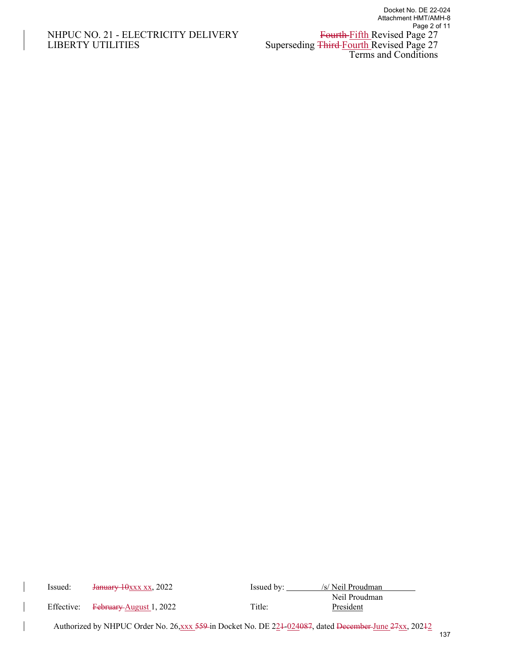## NHPUC NO. 21 - ELECTRICITY DELIVERY LIBERTY UTILITIES LIBERTY UTILITIES Superseding Third-Fourth Revised Page 27

| Issued: | January 10xxx xx, 2022                                                                                 | Issued by: | /s/ Neil Proudman          |     |
|---------|--------------------------------------------------------------------------------------------------------|------------|----------------------------|-----|
|         | Effective: February August 1, 2022                                                                     | Title:     | Neil Proudman<br>President |     |
|         | Authorized by NHPUC Order No. 26, xxx 559 in Docket No. DE 224-024087, dated December-June 27xx, 20242 |            |                            | 137 |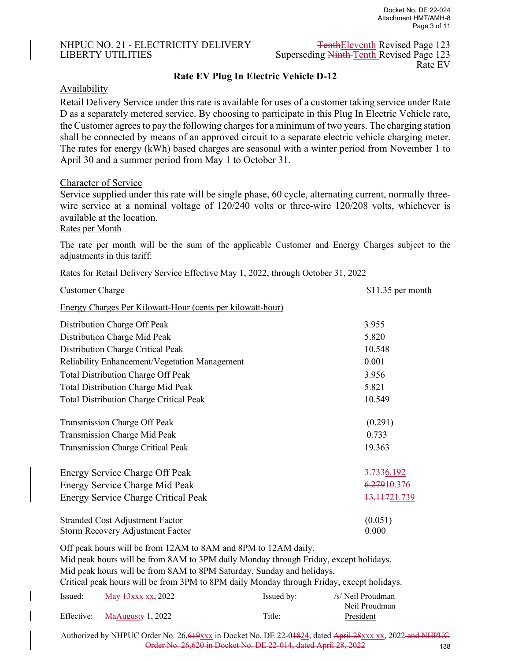#### NHPUC NO. 21 - ELECTRICITY DELIVERY TenthEleventh Revised Page 123 LIBERTY UTILITIES Superseding Ninth Tenth Revised Page 123

Rate EV

## **Rate EV Plug In Electric Vehicle D-12**

#### **Availability**

Retail Delivery Service under this rate is available for uses of a customer taking service under Rate D as a separately metered service. By choosing to participate in this Plug In Electric Vehicle rate, the Customer agrees to pay the following charges for a minimum of two years. The charging station shall be connected by means of an approved circuit to a separate electric vehicle charging meter. The rates for energy (kWh) based charges are seasonal with a winter period from November 1 to April 30 and a summer period from May 1 to October 31.

#### Character of Service

Service supplied under this rate will be single phase, 60 cycle, alternating current, normally threewire service at a nominal voltage of 120/240 volts or three-wire 120/208 volts, whichever is available at the location.

Rates per Month

The rate per month will be the sum of the applicable Customer and Energy Charges subject to the adjustments in this tariff:

| Rates for Retail Delivery Service Effective May 1, 2022, through October 31, 2022 |  |  |
|-----------------------------------------------------------------------------------|--|--|
|                                                                                   |  |  |

| <b>Customer Charge</b>                                         | $$11.35$ per month |
|----------------------------------------------------------------|--------------------|
| Energy Charges Per Kilowatt-Hour (cents per kilowatt-hour)     |                    |
| Distribution Charge Off Peak                                   | 3.955              |
| Distribution Charge Mid Peak                                   | 5.820              |
| Distribution Charge Critical Peak                              | 10.548             |
| Reliability Enhancement/Vegetation Management                  | 0.001              |
| <b>Total Distribution Charge Off Peak</b>                      | 3.956              |
| <b>Total Distribution Charge Mid Peak</b>                      | 5.821              |
| <b>Total Distribution Charge Critical Peak</b>                 | 10.549             |
| Transmission Charge Off Peak                                   | (0.291)            |
| Transmission Charge Mid Peak                                   | 0.733              |
| <b>Transmission Charge Critical Peak</b>                       | 19.363             |
| Energy Service Charge Off Peak                                 | 3.7336.192         |
| Energy Service Charge Mid Peak                                 | 6.27910.376        |
| <b>Energy Service Charge Critical Peak</b>                     | 13.11721.739       |
| <b>Stranded Cost Adjustment Factor</b>                         | (0.051)            |
| Storm Recovery Adjustment Factor                               | 0.000              |
| Off peak hours will be from 12AM to 8AM and 8PM to 12AM daily. |                    |

Mid peak hours will be from 8AM to 3PM daily Monday through Friday, except holidays.

Mid peak hours will be from 8AM to 8PM Saturday, Sunday and holidays.

Critical peak hours will be from 3PM to 8PM daily Monday through Friday, except holidays.

| Issued: | <del>May 13</del> xxx xx, 2022                                 | Issued by: | /s/ Neil Proudman |
|---------|----------------------------------------------------------------|------------|-------------------|
|         |                                                                |            | Neil Proudman     |
|         | Effective: $\frac{\text{MaAugusty}}{\text{MaAugusty}}$ 1, 2022 | Title:     | President         |

Authorized by NHPUC Order No. 26, 619 xxx in Docket No. DE 22-01824, dated April 28 xxx xx, 2022 and NHPUC Order No. 26,620 in Docket No. DE 22-014, dated April 28, 2022 138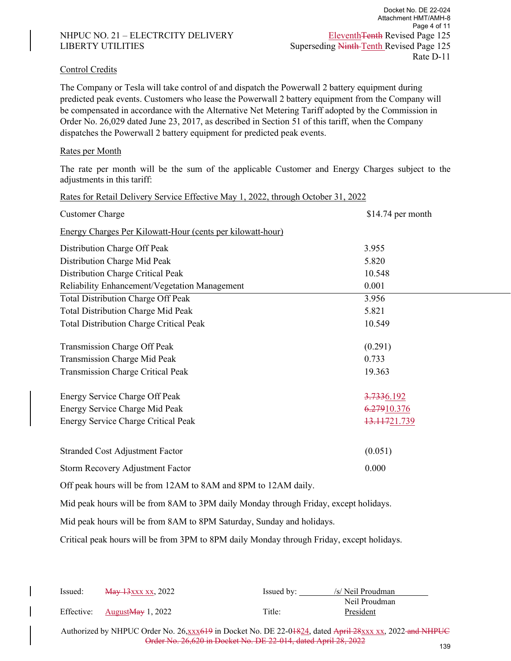#### NHPUC NO. 21 – ELECTRCITY DELIVERY Eleventh Tenth Revised Page 125 LIBERTY UTILITIES Superseding Ninth Tenth Revised Page 125

#### Control Credits

The Company or Tesla will take control of and dispatch the Powerwall 2 battery equipment during predicted peak events. Customers who lease the Powerwall 2 battery equipment from the Company will be compensated in accordance with the Alternative Net Metering Tariff adopted by the Commission in Order No. 26,029 dated June 23, 2017, as described in Section 51 of this tariff, when the Company dispatches the Powerwall 2 battery equipment for predicted peak events.

#### Rates per Month

The rate per month will be the sum of the applicable Customer and Energy Charges subject to the adjustments in this tariff:

| Rates for Retail Delivery Service Effective May 1, 2022, through October 31, 2022 |                    |  |  |  |  |  |  |
|-----------------------------------------------------------------------------------|--------------------|--|--|--|--|--|--|
| <b>Customer Charge</b>                                                            | $$14.74$ per month |  |  |  |  |  |  |
| Energy Charges Per Kilowatt-Hour (cents per kilowatt-hour)                        |                    |  |  |  |  |  |  |
| Distribution Charge Off Peak                                                      | 3.955              |  |  |  |  |  |  |
| Distribution Charge Mid Peak                                                      | 5.820              |  |  |  |  |  |  |
| Distribution Charge Critical Peak                                                 | 10.548             |  |  |  |  |  |  |
| Reliability Enhancement/Vegetation Management                                     | 0.001              |  |  |  |  |  |  |
| <b>Total Distribution Charge Off Peak</b>                                         | 3.956              |  |  |  |  |  |  |
| Total Distribution Charge Mid Peak                                                | 5.821              |  |  |  |  |  |  |
| <b>Total Distribution Charge Critical Peak</b>                                    | 10.549             |  |  |  |  |  |  |
|                                                                                   |                    |  |  |  |  |  |  |
| Transmission Charge Off Peak                                                      | (0.291)            |  |  |  |  |  |  |
| Transmission Charge Mid Peak                                                      | 0.733              |  |  |  |  |  |  |
| Transmission Charge Critical Peak                                                 | 19.363             |  |  |  |  |  |  |
|                                                                                   |                    |  |  |  |  |  |  |
| Energy Service Charge Off Peak                                                    | 3.7336.192         |  |  |  |  |  |  |
| Energy Service Charge Mid Peak                                                    | 6.27910.376        |  |  |  |  |  |  |
| Energy Service Charge Critical Peak                                               | 13.11721.739       |  |  |  |  |  |  |
|                                                                                   |                    |  |  |  |  |  |  |
| <b>Stranded Cost Adjustment Factor</b>                                            | (0.051)            |  |  |  |  |  |  |
| Storm Recovery Adjustment Factor                                                  | 0.000              |  |  |  |  |  |  |
| Off peak hours will be from 12AM to 8AM and 8PM to 12AM daily.                    |                    |  |  |  |  |  |  |

Mid peak hours will be from 8AM to 3PM daily Monday through Friday, except holidays.

Mid peak hours will be from 8AM to 8PM Saturday, Sunday and holidays.

Critical peak hours will be from 3PM to 8PM daily Monday through Friday, except holidays.

| <del>May 13</del> xxx xx, 2022 | Issued by: | /s/ Neil Proudman |
|--------------------------------|------------|-------------------|
|                                |            | Neil Proudman     |
| Effective: AugustMay 1, 2022   | Title:     | President         |
|                                |            |                   |

Authorized by NHPUC Order No. 26,xxx619 in Docket No. DE 22-01824, dated April 28xxx xx, 2022 and NHPUC Order No. 26,620 in Docket No. DE 22-014, dated April 28, 2022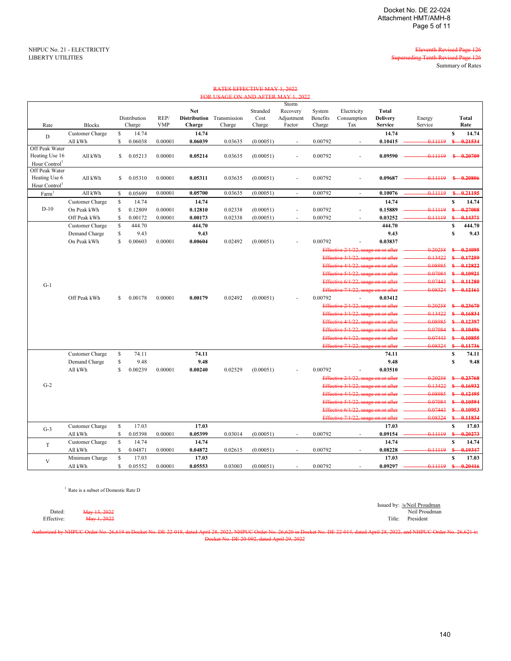ding Tenth Revised Page 126 Summary of Rates

NHPUC No. 21 - ELECTRICITY **Eleventh Revised Page 126**<br>LIBERTY UTILITIES **Eleventh Revised Page 126** 

|                                 |                 |             |                        |                    |                                             | FOR USAGE ON AND AFTER MAY 1, 2022 |                            |                                           |                              |                                     |                                                   |                   |              |               |
|---------------------------------|-----------------|-------------|------------------------|--------------------|---------------------------------------------|------------------------------------|----------------------------|-------------------------------------------|------------------------------|-------------------------------------|---------------------------------------------------|-------------------|--------------|---------------|
| Rate                            | <b>Blocks</b>   |             | Distribution<br>Charge | REP/<br><b>VMP</b> | <b>Net</b><br><b>Distribution</b><br>Charge | Transmission<br>Charge             | Stranded<br>Cost<br>Charge | Storm<br>Recovery<br>Adjustment<br>Factor | System<br>Benefits<br>Charge | Electricity<br>Consumption<br>Tax   | <b>Total</b><br><b>Delivery</b><br><b>Service</b> | Energy<br>Service |              | Total<br>Rate |
| D                               | Customer Charge | $\mathbb S$ | 14.74                  |                    | 14.74                                       |                                    |                            |                                           |                              |                                     | 14.74                                             |                   | $\mathbf{s}$ | 14.74         |
|                                 | All kWh         | S           | 0.06038                | 0.00001            | 0.06039                                     | 0.03635                            | (0.00051)                  | $\sim$                                    | 0.00792                      |                                     | 0.10415                                           | 0.11119           | \$           | 0.21534       |
| Off Peak Water                  |                 |             |                        |                    |                                             |                                    |                            |                                           |                              |                                     |                                                   |                   |              |               |
| Heating Use 16                  | All kWh         | S.          | 0.05213                | 0.00001            | 0.05214                                     | 0.03635                            | (0.00051)                  | ÷,                                        | 0.00792                      |                                     | 0.09590                                           | 0.11119           |              | $$ -0.20709$  |
| Hour Control                    |                 |             |                        |                    |                                             |                                    |                            |                                           |                              |                                     |                                                   |                   |              |               |
| Off Peak Water<br>Heating Use 6 |                 |             |                        |                    |                                             |                                    |                            |                                           |                              |                                     |                                                   | 0.11119           |              | $$ -0.20806$  |
| Hour Control <sup>1</sup>       | All kWh         | S.          | 0.05310                | 0.00001            | 0.05311                                     | 0.03635                            | (0.00051)                  | ÷.                                        | 0.00792                      |                                     | 0.09687                                           |                   |              |               |
| Farm <sup>1</sup>               | All kWh         | S           | 0.05699                | 0.00001            | 0.05700                                     | 0.03635                            | (0.00051)                  | $\sim$                                    | 0.00792                      | $\overline{\phantom{a}}$            | 0.10076                                           | 0.11119           | $S-$         | 0.21195       |
|                                 | Customer Charge | $\mathbb S$ | 14.74                  |                    | 14.74                                       |                                    |                            |                                           |                              |                                     | 14.74                                             |                   | s            | 14.74         |
| $D-10$                          | On Peak kWh     | $\mathbb S$ | 0.12809                | 0.00001            | 0.12810                                     | 0.02338                            | (0.00051)                  | ÷,                                        | 0.00792                      |                                     | 0.15889                                           | 0.11119           | $S-$         | $-0.27008$    |
|                                 | Off Peak kWh    | S           | 0.00172                | 0.00001            | 0.00173                                     | 0.02338                            | (0.00051)                  | $\overline{\phantom{a}}$                  | 0.00792                      | $\overline{\phantom{a}}$            | 0.03252                                           | 0.11119           | £.           | 0.14371       |
|                                 | Customer Charge | $\mathbb S$ | 444.70                 |                    | 444.70                                      |                                    |                            |                                           |                              |                                     | 444.70                                            |                   | S            | 444.70        |
|                                 | Demand Charge   | s           | 9.43                   |                    | 9.43                                        |                                    |                            |                                           |                              |                                     | 9.43                                              |                   | $\mathbf{s}$ | 9.43          |
|                                 | On Peak kWh     | S.          | 0.00603                | 0.00001            | 0.00604                                     | 0.02492                            | (0.00051)                  |                                           | 0.00792                      |                                     | 0.03837                                           |                   |              |               |
|                                 |                 |             |                        |                    |                                             |                                    |                            |                                           |                              | Effective 2/1/22, usage on or after |                                                   | 0.20258           | S-           | $-0.24095$    |
|                                 |                 |             |                        |                    |                                             |                                    |                            |                                           |                              | Effective 3/1/22, usage on or after |                                                   | 0.13422           |              | 0.17259       |
|                                 |                 |             |                        |                    |                                             |                                    |                            |                                           |                              | Effective 4/1/22, usage on or after |                                                   | 0.08985           |              | \$ 0.12822    |
|                                 |                 |             |                        |                    |                                             |                                    |                            |                                           |                              | Effective 5/1/22, usage on or after |                                                   | 0.07084           |              | $$-.10921$    |
|                                 |                 |             |                        |                    |                                             |                                    |                            |                                           |                              | Effective 6/1/22, usage on or after |                                                   | 0.07443           | £.           | 0.11280       |
| $G-1$                           |                 |             |                        |                    |                                             |                                    |                            |                                           |                              | Effective 7/1/22, usage on or after |                                                   | 0.08324           |              | $$ -0.12161$  |
|                                 | Off Peak kWh    | S           | 0.00178                | 0.00001            | 0.00179                                     | 0.02492                            | (0.00051)                  |                                           | 0.00792                      |                                     | 0.03412                                           |                   |              |               |
|                                 |                 |             |                        |                    |                                             |                                    |                            |                                           |                              | Effective 2/1/22, usage on or after |                                                   | 0.20258           |              | \$ 0.23670    |
|                                 |                 |             |                        |                    |                                             |                                    |                            |                                           |                              | Effective 3/1/22, usage on or after |                                                   | 0.13422           |              | 0.16834       |
|                                 |                 |             |                        |                    |                                             |                                    |                            |                                           |                              | Effective 4/1/22, usage on or after |                                                   | 0.08985           |              | $$ -0.12397$  |
|                                 |                 |             |                        |                    |                                             |                                    |                            |                                           |                              | Effective 5/1/22, usage on or after |                                                   | 0.07084           |              | \$ 0.10496    |
|                                 |                 |             |                        |                    |                                             |                                    |                            |                                           |                              | Effective 6/1/22, usage on or after |                                                   | 0.07443           |              | $$ -0.10855$  |
|                                 |                 |             |                        |                    |                                             |                                    |                            |                                           |                              | Effective 7/1/22, usage on or after |                                                   | 0.08324           | $S-$         | $-0.11736$    |
|                                 | Customer Charge | s           | 74.11                  |                    | 74.11                                       |                                    |                            |                                           |                              |                                     | 74.11                                             |                   | S            | 74.11         |
|                                 | Demand Charge   | \$          | 9.48                   |                    | 9.48                                        |                                    |                            |                                           |                              |                                     | 9.48                                              |                   | $\mathbf{s}$ | 9.48          |
|                                 | All kWh         | S           | 0.00239                | 0.00001            | 0.00240                                     | 0.02529                            | (0.00051)                  |                                           | 0.00792                      |                                     | 0.03510                                           |                   |              |               |
|                                 |                 |             |                        |                    |                                             |                                    |                            |                                           |                              | Effective 2/1/22, usage on or after |                                                   | 0.20258           | €            | $-0.23768$    |
| $G-2$                           |                 |             |                        |                    |                                             |                                    |                            |                                           |                              | Effective 3/1/22, usage on or after |                                                   | 0.13422           |              | \$ 0.16932    |
|                                 |                 |             |                        |                    |                                             |                                    |                            |                                           |                              | Effective 4/1/22, usage on or after |                                                   | 0.08985           |              | \$ 0.12495    |
|                                 |                 |             |                        |                    |                                             |                                    |                            |                                           |                              | Effective 5/1/22, usage on or after |                                                   | 0.07084           |              | $$ -0.10594$  |
|                                 |                 |             |                        |                    |                                             |                                    |                            |                                           |                              | Effective 6/1/22, usage on or after |                                                   | 0.07443           |              | \$ 0.10953    |
|                                 |                 |             |                        |                    |                                             |                                    |                            |                                           |                              | Effective 7/1/22, usage on or after |                                                   | 0.08324           |              | $$ -0.11834$  |
|                                 | Customer Charge | S           | 17.03                  |                    | 17.03                                       |                                    |                            |                                           |                              |                                     | 17.03                                             |                   | s            | 17.03         |
| $G-3$                           | All kWh         | S           | 0.05398                | 0.00001            | 0.05399                                     | 0.03014                            | (0.00051)                  |                                           | 0.00792                      |                                     | 0.09154                                           | $-0.11119$        | S.           | 0.20273       |
|                                 | Customer Charge | S           | 14.74                  |                    | 14.74                                       |                                    |                            |                                           |                              |                                     | 14.74                                             |                   | s            | 14.74         |
| T                               | All kWh         | S           | 0.04871                | 0.00001            | 0.04872                                     | 0.02615                            | (0.00051)                  | ÷.                                        | 0.00792                      |                                     | 0.08228                                           | 0.11119           |              | 0.19347       |
|                                 | Minimum Charge  | $\mathbf S$ | 17.03                  |                    | 17.03                                       |                                    |                            |                                           |                              |                                     | 17.03                                             |                   | $\mathbf{s}$ | 17.03         |
| $\mathbf{V}$                    | All kWh         | S.          | 0.05552                | 0.00001            | 0.05553                                     | 0.03003                            | (0.00051)                  | ÷,                                        | 0.00792                      |                                     | 0.09297                                           | 0.11119           |              | $$ -0.20416$  |
|                                 |                 |             |                        |                    |                                             |                                    |                            |                                           |                              |                                     |                                                   |                   |              |               |

RATES EFFECTIVE MAY 1, 2022

<sup>1</sup> Rate is a subset of Domestic Rate D

Issued by: /s/Neil Proudman Dated: May 13, 2022 Neil Proudman Effective: May 1, 2022 Title: President

Authorized by NHPUC Order No. 26,619 in Docket No. DE 22-018, dated April 28, 2022, NHPUC Order No. 26,620 in Docket No. DE 22-014, dated April 28, 2022, and NHPUC Order No. 26,621 in Docket No. DE 20-092, dated April 29, 2022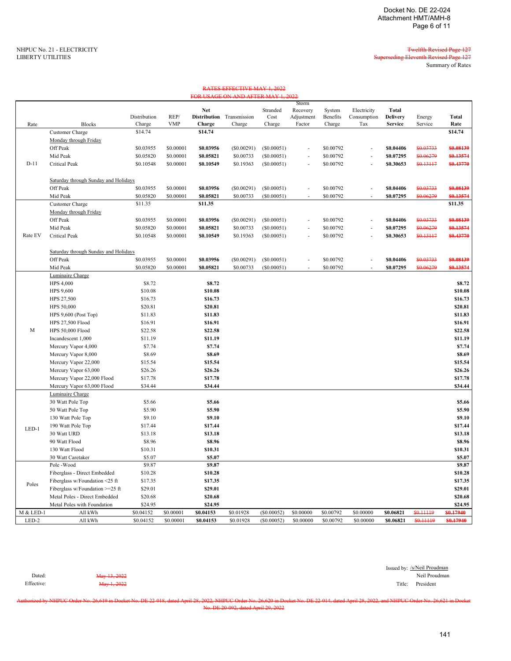LIBERTY UTILITIES Superseding Eleventh Revised Page 127 Summary of Rates

> Energy Service

| Rate    | <b>Blocks</b>                        | Distribution<br>Charge | REP/<br><b>VMP</b> | <b>Distribution</b><br>Charge | Transmission<br>Charge | Cost<br>Charge | Adjustment<br>Factor | <b>Benefits</b><br>Charge | Consumption<br>Tax       | <b>Delivery</b><br><b>Service</b> | Energy<br>Service | Total<br>Rate    |
|---------|--------------------------------------|------------------------|--------------------|-------------------------------|------------------------|----------------|----------------------|---------------------------|--------------------------|-----------------------------------|-------------------|------------------|
|         | Customer Charge                      | \$14.74                |                    | \$14.74                       |                        |                |                      |                           |                          |                                   |                   | \$14.74          |
|         |                                      |                        |                    |                               |                        |                |                      |                           |                          |                                   |                   |                  |
|         | Monday through Friday<br>Off Peak    |                        |                    |                               |                        |                |                      |                           |                          |                                   |                   |                  |
|         |                                      | \$0.03955              | \$0.00001          | \$0.03956                     | (S0.00291)             | (S0.00051)     | $\sim$               | \$0.00792                 | $\sim$                   | \$0.04406                         | \$0.03733         | \$0.08139        |
|         | Mid Peak                             | \$0.05820              | \$0.00001          | \$0.05821                     | \$0.00733              | (S0.00051)     | $\sim$               | \$0.00792                 | $\sim$                   | \$0.07295                         | \$0.06279         | \$0.13574        |
| $D-11$  | <b>Critical Peak</b>                 | \$0.10548              | \$0.00001          | \$0.10549                     | \$0.19363              | (S0.00051)     | $\sim$               | \$0.00792                 | $\sim$                   | \$0.30653                         | \$0.13117         | \$0.43770        |
|         | Saturday through Sunday and Holidays |                        |                    |                               |                        |                |                      |                           |                          |                                   |                   |                  |
|         | Off Peak                             | \$0.03955              | \$0.00001          | \$0.03956                     | $(\$0.00291)$          | (S0.00051)     | $\sim$               | \$0.00792                 | $\sim$                   | \$0.04406                         | \$0.03733         | \$0.08139        |
|         | Mid Peak                             | \$0.05820              | \$0.00001          | \$0.05821                     | \$0.00733              | (S0.00051)     | $\sim$               | \$0.00792                 | $\sim$                   | \$0.07295                         | \$0.06279         | \$0.13574        |
|         | Customer Charge                      | \$11.35                |                    | \$11.35                       |                        |                |                      |                           |                          |                                   |                   | \$11.35          |
|         | Monday through Friday                |                        |                    |                               |                        |                |                      |                           |                          |                                   |                   |                  |
|         | Off Peak                             | \$0.03955              | \$0.00001          | \$0.03956                     | (S0.00291)             | (S0.00051)     | ٠                    | \$0.00792                 | $\overline{\phantom{a}}$ | \$0.04406                         | \$0.03733         | \$0.08139        |
|         | Mid Peak                             | \$0.05820              | \$0.00001          | \$0.05821                     | \$0.00733              | (S0.00051)     | $\sim$               | \$0.00792                 | $\overline{\phantom{a}}$ | \$0.07295                         | \$0.06279         | <b>\$0.13574</b> |
| Rate EV | <b>Critical Peak</b>                 | \$0.10548              | \$0.00001          | \$0.10549                     | \$0.19363              | (S0.00051)     | $\sim$               | \$0.00792                 | ٠                        | \$0.30653                         | \$0.13117         | <b>\$0.43770</b> |
|         | Saturday through Sunday and Holidays |                        |                    |                               |                        |                |                      |                           |                          |                                   |                   |                  |
|         | Off Peak                             | \$0.03955              | \$0.00001          | \$0.03956                     | (S0.00291)             | (S0.00051)     | ٠                    | \$0.00792                 |                          | \$0.04406                         | \$0.03733         | \$0.08139        |
|         | Mid Peak                             | \$0.05820              | \$0.00001          | \$0.05821                     | \$0.00733              | (S0.00051)     | $\sim$               | \$0.00792                 | $\sim$                   | \$0.07295                         | \$0.06279         | \$0.13574        |
|         | Luminaire Charge                     |                        |                    |                               |                        |                |                      |                           |                          |                                   |                   |                  |
|         | <b>HPS 4.000</b>                     | \$8.72                 |                    | \$8.72                        |                        |                |                      |                           |                          |                                   |                   | \$8.72           |
|         | <b>HPS 9.600</b>                     | \$10.08                |                    | \$10.08                       |                        |                |                      |                           |                          |                                   |                   | \$10.08          |
|         | HDC $27.500$                         | \$16.72                |                    | \$16.72                       |                        |                |                      |                           |                          |                                   |                   | <b>C16 73</b>    |

RATES EFFECTIVE MAY 1, 2022 FOR USAGE ON AND AFTER MAY 1, 2022

Stranded

Storm Recovery

System

Electricity

**Total**

**Net** 

| LED-2     | All kWh                         | \$0.04152 | \$0.00001 | \$0.04153 | \$0.01928 | (S0.00052) | \$0.00000 | \$0.00792 | \$0.00000 | \$0.06821 | \$0.11119 | \$0,17940     |
|-----------|---------------------------------|-----------|-----------|-----------|-----------|------------|-----------|-----------|-----------|-----------|-----------|---------------|
| M & LED-1 | All kWh                         | \$0.04152 | \$0.00001 | \$0.04153 | \$0.01928 | (S0.00052) | \$0.00000 | \$0.00792 | \$0.00000 | \$0.06821 | \$0.11119 | \$0,17940     |
|           | Metal Poles with Foundation     | \$24.95   |           | \$24.95   |           |            |           |           |           |           |           | \$24.95       |
|           | Metal Poles - Direct Embedded   | \$20.68   |           | \$20.68   |           |            |           |           |           |           |           | \$20.68       |
|           | Fiberglass w/Foundation >=25 ft | \$29.01   |           | \$29.01   |           |            |           |           |           |           |           | \$29.01       |
| Poles     | Fiberglass w/Foundation <25 ft  | \$17.35   |           | \$17.35   |           |            |           |           |           |           |           | \$17.35       |
|           | Fiberglass - Direct Embedded    | \$10.28   |           | \$10.28   |           |            |           |           |           |           |           | \$10.28       |
|           | Pole -Wood                      | \$9.87    |           | \$9.87    |           |            |           |           |           |           |           | \$9.87        |
|           | 30 Watt Caretaker               | \$5.07    |           | \$5.07    |           |            |           |           |           |           |           | \$5.07        |
|           | 130 Watt Flood                  | \$10.31   |           | \$10.31   |           |            |           |           |           |           |           | \$10.31       |
|           | 90 Watt Flood                   | \$8.96    |           | \$8.96    |           |            |           |           |           |           |           | \$8.96        |
|           | 30 Watt URD                     | \$13.18   |           | \$13.18   |           |            |           |           |           |           |           | \$13.18       |
| LED-1     | 190 Watt Pole Top               | \$17.44   |           | \$17.44   |           |            |           |           |           |           |           | \$17.44       |
|           | 130 Watt Pole Top               | \$9.10    |           | \$9.10    |           |            |           |           |           |           |           | \$9.10        |
|           | 50 Watt Pole Top                | \$5.90    |           | \$5.90    |           |            |           |           |           |           |           | \$5.90        |
|           | 30 Watt Pole Top                | \$5.66    |           | \$5.66    |           |            |           |           |           |           |           | \$5.66        |
|           | Luminaire Charge                |           |           |           |           |            |           |           |           |           |           |               |
|           | Mercury Vapor 63,000 Flood      | \$34.44   |           | \$34.44   |           |            |           |           |           |           |           | \$34.44       |
|           | Mercury Vapor 22,000 Flood      | \$17.78   |           | \$17.78   |           |            |           |           |           |           |           | \$17.78       |
|           | Mercury Vapor 63,000            | \$26.26   |           | \$26.26   |           |            |           |           |           |           |           | \$26.26       |
|           | Mercury Vapor 22,000            | \$15.54   |           | \$15.54   |           |            |           |           |           |           |           | \$15.54       |
|           | Mercury Vapor 8,000             | \$8.69    |           | \$8.69    |           |            |           |           |           |           |           | \$8.69        |
|           | Mercury Vapor 4,000             | \$7.74    |           | \$7.74    |           |            |           |           |           |           |           | <b>\$7.74</b> |
|           | Incandescent 1,000              | \$11.19   |           | \$11.19   |           |            |           |           |           |           |           | \$11.19       |
| M         | HPS 50,000 Flood                | \$22.58   |           | \$22.58   |           |            |           |           |           |           |           | \$22.58       |
|           | HPS 27,500 Flood                | \$16.91   |           | \$16.91   |           |            |           |           |           |           |           | \$16.91       |
|           | HPS $9,600$ (Post Top)          | \$11.83   |           | \$11.83   |           |            |           |           |           |           |           | \$11.83       |
|           | HPS 50,000                      | \$20.81   |           | \$20.81   |           |            |           |           |           |           |           | \$20.81       |
|           | HPS 27,500                      | \$16.73   |           | \$16.73   |           |            |           |           |           |           |           | \$16.73       |
|           | HPS 9,600                       | \$10.08   |           | \$10.08   |           |            |           |           |           |           |           | \$10.08       |
|           | <b>HPS 4,000</b>                | \$8.72    |           | \$8.72    |           |            |           |           |           |           |           | \$8.72        |

Issued by: /s/Neil Proudman<br>Neil Proudman Dated: May 13, 2022 Neil Proudman Effective: Nay 1, 2022 2023

Authorized by NHPUC Order No. 26,619 in Docket No. DE 22-018, dated April 28, 2022, NHPUC Order No. 26,620 in Docket No. DE 22-014, dated April 28, 2022, and NHPUC Order No. 26,621 in Docket No. DE 20-092, dated April 29, 2022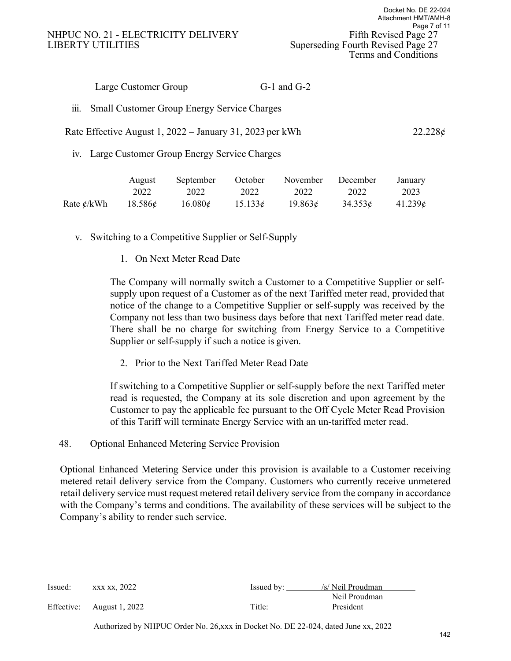#### NHPUC NO. 21 - ELECTRICITY DELIVERY Fifth Revised Page 27 LIBERTY UTILITIES Superseding Fourth Revised Page 27

| $G-1$ and $G-2$ |  |
|-----------------|--|
|                 |  |

iii. Small Customer Group Energy Service Charges

#### Rate Effective August 1, 2022 – January 31, 2023 per kWh  $22.228 \notin \mathbb{Z}$

iv. Large Customer Group Energy Service Charges

| August | September                                                      |      | October November December January |                            |      |
|--------|----------------------------------------------------------------|------|-----------------------------------|----------------------------|------|
| 2022   | 2022                                                           | 2022 | 2022                              | 2022                       | 2023 |
|        | Rate $\frac{e}{kWh}$ 18.586 $\frac{e}{k}$ 16.080 $\frac{e}{k}$ |      | $15.1336$ $19.8636$               | $34.353\phi$ 41.239 $\phi$ |      |

v. Switching to a Competitive Supplier or Self-Supply

1. On Next Meter Read Date

The Company will normally switch a Customer to a Competitive Supplier or selfsupply upon request of a Customer as of the next Tariffed meter read, provided that notice of the change to a Competitive Supplier or self-supply was received by the Company not less than two business days before that next Tariffed meter read date. There shall be no charge for switching from Energy Service to a Competitive Supplier or self-supply if such a notice is given.

2. Prior to the Next Tariffed Meter Read Date

If switching to a Competitive Supplier or self-supply before the next Tariffed meter read is requested, the Company at its sole discretion and upon agreement by the Customer to pay the applicable fee pursuant to the Off Cycle Meter Read Provision of this Tariff will terminate Energy Service with an un-tariffed meter read.

48. Optional Enhanced Metering Service Provision

Optional Enhanced Metering Service under this provision is available to a Customer receiving metered retail delivery service from the Company. Customers who currently receive unmetered retail delivery service must request metered retail delivery service from the company in accordance with the Company's terms and conditions. The availability of these services will be subject to the Company's ability to render such service.

| $Issued:$ xxx xx, 2022    | Issued by: | /s/ Neil Proudman |
|---------------------------|------------|-------------------|
|                           |            | Neil Proudman     |
| Effective: August 1, 2022 | Title:     | President         |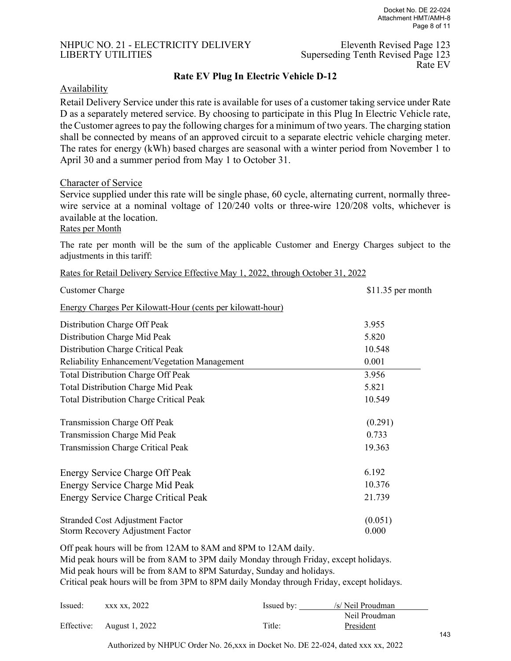# NHPUC NO. 21 - ELECTRICITY DELIVERY Eleventh Revised Page 123

LIBERTY UTILITIES Superseding Tenth Revised Page 123<br>Rate EV Rate EV

#### **Rate EV Plug In Electric Vehicle D-12**

#### **Availability**

Retail Delivery Service under this rate is available for uses of a customer taking service under Rate D as a separately metered service. By choosing to participate in this Plug In Electric Vehicle rate, the Customer agrees to pay the following charges for a minimum of two years. The charging station shall be connected by means of an approved circuit to a separate electric vehicle charging meter. The rates for energy (kWh) based charges are seasonal with a winter period from November 1 to April 30 and a summer period from May 1 to October 31.

#### Character of Service

Service supplied under this rate will be single phase, 60 cycle, alternating current, normally threewire service at a nominal voltage of 120/240 volts or three-wire 120/208 volts, whichever is available at the location.

Rates per Month

The rate per month will be the sum of the applicable Customer and Energy Charges subject to the adjustments in this tariff:

| Rates for Retail Delivery Service Effective May 1, 2022, through October 31, 2022 |  |  |
|-----------------------------------------------------------------------------------|--|--|
|                                                                                   |  |  |

| <b>Customer Charge</b>                                            | $$11.35$ per month |
|-------------------------------------------------------------------|--------------------|
| <b>Energy Charges Per Kilowatt-Hour (cents per kilowatt-hour)</b> |                    |
| Distribution Charge Off Peak                                      | 3.955              |
| Distribution Charge Mid Peak                                      | 5.820              |
| Distribution Charge Critical Peak                                 | 10.548             |
| <b>Reliability Enhancement/Vegetation Management</b>              | 0.001              |
| <b>Total Distribution Charge Off Peak</b>                         | 3.956              |
| <b>Total Distribution Charge Mid Peak</b>                         | 5.821              |
| <b>Total Distribution Charge Critical Peak</b>                    | 10.549             |
| Transmission Charge Off Peak                                      | (0.291)            |
| <b>Transmission Charge Mid Peak</b>                               | 0.733              |
| <b>Transmission Charge Critical Peak</b>                          | 19.363             |
| Energy Service Charge Off Peak                                    | 6.192              |
| Energy Service Charge Mid Peak                                    | 10.376             |
| <b>Energy Service Charge Critical Peak</b>                        | 21.739             |
| <b>Stranded Cost Adjustment Factor</b>                            | (0.051)            |
| Storm Recovery Adjustment Factor                                  | 0.000              |

Off peak hours will be from 12AM to 8AM and 8PM to 12AM daily.

Mid peak hours will be from 8AM to 3PM daily Monday through Friday, except holidays.

Mid peak hours will be from 8AM to 8PM Saturday, Sunday and holidays.

Critical peak hours will be from 3PM to 8PM daily Monday through Friday, except holidays.

| Issued: | xxx xx, 2022              | Issued by: | /s/ Neil Proudman |
|---------|---------------------------|------------|-------------------|
|         |                           |            | Neil Proudman     |
|         | Effective: August 1, 2022 | Title:     | President         |

Authorized by NHPUC Order No. 26,xxx in Docket No. DE 22-024, dated xxx xx, 2022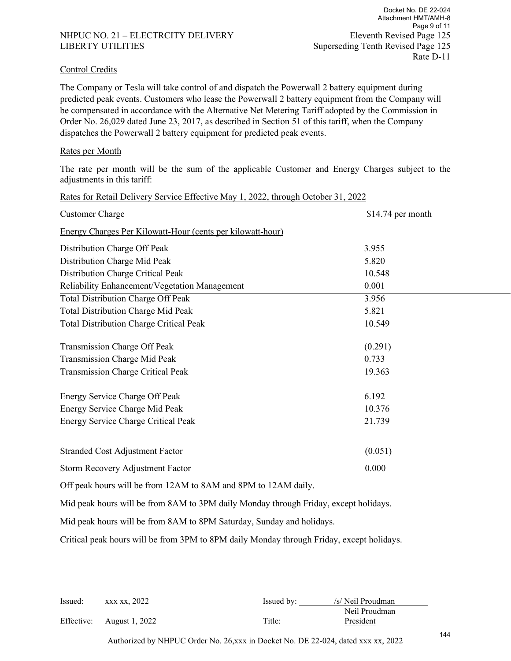#### NHPUC NO. 21 – ELECTRCITY DELIVERY Eleventh Revised Page 125 LIBERTY UTILITIES Superseding Tenth Revised Page 125

#### Control Credits

The Company or Tesla will take control of and dispatch the Powerwall 2 battery equipment during predicted peak events. Customers who lease the Powerwall 2 battery equipment from the Company will be compensated in accordance with the Alternative Net Metering Tariff adopted by the Commission in Order No. 26,029 dated June 23, 2017, as described in Section 51 of this tariff, when the Company dispatches the Powerwall 2 battery equipment for predicted peak events.

#### Rates per Month

The rate per month will be the sum of the applicable Customer and Energy Charges subject to the adjustments in this tariff:

| Rates for Retail Delivery Service Effective May 1, 2022, through October 31, 2022 |                    |
|-----------------------------------------------------------------------------------|--------------------|
| <b>Customer Charge</b>                                                            | $$14.74$ per month |
| Energy Charges Per Kilowatt-Hour (cents per kilowatt-hour)                        |                    |
| Distribution Charge Off Peak                                                      | 3.955              |
| Distribution Charge Mid Peak                                                      | 5.820              |
| Distribution Charge Critical Peak                                                 | 10.548             |
| Reliability Enhancement/Vegetation Management                                     | 0.001              |
| <b>Total Distribution Charge Off Peak</b>                                         | 3.956              |
| Total Distribution Charge Mid Peak                                                | 5.821              |
| <b>Total Distribution Charge Critical Peak</b>                                    | 10.549             |
| Transmission Charge Off Peak                                                      | (0.291)            |
| Transmission Charge Mid Peak                                                      | 0.733              |
| Transmission Charge Critical Peak                                                 | 19.363             |
| Energy Service Charge Off Peak                                                    | 6.192              |
| Energy Service Charge Mid Peak                                                    | 10.376             |
| Energy Service Charge Critical Peak                                               | 21.739             |
| <b>Stranded Cost Adjustment Factor</b>                                            | (0.051)            |
| Storm Recovery Adjustment Factor                                                  | 0.000              |
| Off peak hours will be from 12AM to 8AM and 8PM to 12AM daily.                    |                    |

Mid peak hours will be from 8AM to 3PM daily Monday through Friday, except holidays.

Mid peak hours will be from 8AM to 8PM Saturday, Sunday and holidays.

Critical peak hours will be from 3PM to 8PM daily Monday through Friday, except holidays.

| Issued: | xxx xx, 2022              | Is sued by: | /s/ Neil Proudman |
|---------|---------------------------|-------------|-------------------|
|         |                           |             | Neil Proudman     |
|         | Effective: August 1, 2022 | Title:      | President         |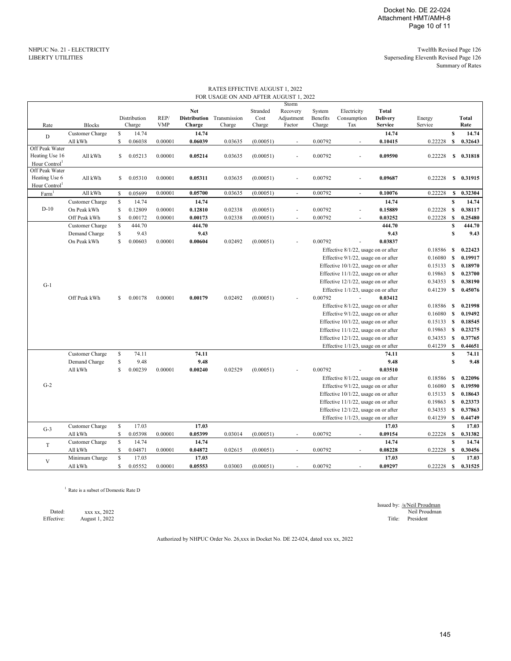#### RATES EFFECTIVE AUGUST 1, 2022 FOR USAGE ON AND AFTER AUGUST 1, 2022

|                   |                                                      |              |              |            |            |                           |           | Storm      |          |                                      |                 |              |                  |              |
|-------------------|------------------------------------------------------|--------------|--------------|------------|------------|---------------------------|-----------|------------|----------|--------------------------------------|-----------------|--------------|------------------|--------------|
|                   |                                                      |              |              |            | <b>Net</b> |                           | Stranded  | Recovery   | System   | Electricity                          | <b>Total</b>    |              |                  |              |
|                   |                                                      |              | Distribution | REP/       |            | Distribution Transmission | Cost      | Adjustment | Benefits | Consumption                          | <b>Delivery</b> | Energy       |                  | <b>Total</b> |
| Rate              | <b>Blocks</b>                                        |              | Charge       | <b>VMP</b> | Charge     | Charge                    | Charge    | Factor     | Charge   | Tax                                  | <b>Service</b>  | Service      |                  | Rate         |
|                   | Customer Charge                                      | $\mathbb{S}$ | 14.74        |            | 14.74      |                           |           |            |          |                                      | 14.74           |              | $\mathbf{s}$     | 14.74        |
| D                 | All kWh                                              | S            | 0.06038      | 0.00001    | 0.06039    | 0.03635                   | (0.00051) | ×.         | 0.00792  | ÷.                                   | 0.10415         | 0.22228      | $\mathbf{s}$     | 0.32643      |
| Off Peak Water    |                                                      |              |              |            |            |                           |           |            |          |                                      |                 |              |                  |              |
| Heating Use 16    | All kWh                                              | S.           | 0.05213      | 0.00001    | 0.05214    | 0.03635                   | (0.00051) | ×.         | 0.00792  |                                      | 0.09590         | 0.22228      | S                | 0.31818      |
| Hour Control      |                                                      |              |              |            |            |                           |           |            |          |                                      |                 |              |                  |              |
| Off Peak Water    |                                                      |              |              |            |            |                           |           |            |          |                                      |                 |              |                  |              |
| Heating Use 6     | All kWh                                              | $\mathbb{S}$ | 0.05310      | 0.00001    | 0.05311    | 0.03635                   | (0.00051) |            | 0.00792  |                                      | 0.09687         | 0.22228      | S                | 0.31915      |
| Hour Control      |                                                      |              |              |            |            |                           |           |            |          |                                      |                 |              |                  |              |
| Farm <sup>1</sup> | All kWh                                              | S            | 0.05699      | 0.00001    | 0.05700    | 0.03635                   | (0.00051) | $\omega$   | 0.00792  | $\bar{z}$                            | 0.10076         | 0.22228      | $\mathbf{s}$     | 0.32304      |
|                   | Customer Charge                                      | $\mathbf S$  | 14.74        |            | 14.74      |                           |           |            |          |                                      | 14.74           |              | $\mathbf S$      | 14.74        |
| $D-10$            | On Peak kWh                                          | S            | 0.12809      | 0.00001    | 0.12810    | 0.02338                   | (0.00051) | ×.         | 0.00792  | $\sim$                               | 0.15889         | 0.22228      | s                | 0.38117      |
|                   | Off Peak kWh                                         | S            | 0.00172      | 0.00001    | 0.00173    | 0.02338                   | (0.00051) | $\sim$     | 0.00792  | ÷,                                   | 0.03252         | 0.22228      | S                | 0.25480      |
|                   |                                                      |              | 444.70       |            |            |                           |           |            |          |                                      |                 |              | S                |              |
|                   | Customer Charge                                      | S            |              |            | 444.70     |                           |           |            |          |                                      | 444.70          |              |                  | 444.70       |
|                   | Demand Charge                                        | S            | 9.43         |            | 9.43       |                           |           |            |          |                                      | 9.43            |              | $\mathbf{s}$     | 9.43         |
|                   | On Peak kWh                                          | S            | 0.00603      | 0.00001    | 0.00604    | 0.02492                   | (0.00051) |            | 0.00792  |                                      | 0.03837         |              |                  |              |
|                   |                                                      |              |              |            |            |                           |           |            |          | Effective 8/1/22, usage on or after  |                 | 0.18586      | S                | 0.22423      |
|                   |                                                      |              |              |            |            |                           |           |            |          | Effective 9/1/22, usage on or after  |                 | 0.16080      | S                | 0.19917      |
|                   |                                                      |              |              |            |            |                           |           |            |          | Effective 10/1/22, usage on or after |                 | $0.15133$ \$ |                  | 0.18970      |
|                   |                                                      |              |              |            |            |                           |           |            |          | Effective 11/1/22, usage on or after |                 | $0.19863$ \$ |                  | 0.23700      |
|                   |                                                      |              |              |            |            |                           |           |            |          | Effective 12/1/22, usage on or after |                 | 0.34353      | S                | 0.38190      |
| $G-1$             |                                                      |              |              |            |            |                           |           |            |          | Effective 1/1/23, usage on or after  |                 | 0.41239      | $\mathbf{s}$     | 0.45076      |
|                   | Off Peak kWh                                         | S            | 0.00178      | 0.00001    | 0.00179    | 0.02492                   | (0.00051) |            | 0.00792  |                                      | 0.03412         |              |                  |              |
|                   |                                                      |              |              |            |            |                           |           |            |          | Effective 8/1/22, usage on or after  |                 | 0.18586      | S                | 0.21998      |
|                   |                                                      |              |              |            |            |                           |           |            |          | Effective 9/1/22, usage on or after  |                 | 0.16080      | S                | 0.19492      |
|                   |                                                      |              |              |            |            |                           |           |            |          | Effective 10/1/22, usage on or after |                 | $0.15133$ \$ |                  | 0.18545      |
|                   |                                                      |              |              |            |            |                           |           |            |          |                                      |                 |              |                  |              |
|                   |                                                      |              |              |            |            |                           |           |            |          | Effective 11/1/22, usage on or after |                 | $0.19863$ \$ |                  | 0.23275      |
|                   |                                                      |              |              |            |            |                           |           |            |          | Effective 12/1/22, usage on or after |                 | $0.34353$ \$ |                  | 0.37765      |
|                   |                                                      |              |              |            |            |                           |           |            |          | Effective 1/1/23, usage on or after  |                 | 0.41239      | <b>S</b>         | 0.44651      |
|                   | Customer Charge                                      | $\mathbf S$  | 74.11        |            | 74.11      |                           |           |            |          |                                      | 74.11           |              | $\mathbf S$      | 74.11        |
|                   | Demand Charge                                        | $\mathbf S$  | 9.48         |            | 9.48       |                           |           |            |          |                                      | 9.48            |              | S                | 9.48         |
|                   | All kWh                                              | S            | 0.00239      | 0.00001    | 0.00240    | 0.02529                   | (0.00051) |            | 0.00792  |                                      | 0.03510         |              |                  |              |
|                   |                                                      |              |              |            |            |                           |           |            |          | Effective 8/1/22, usage on or after  |                 | 0.18586      | S                | 0.22096      |
| $G-2$             |                                                      |              |              |            |            |                           |           |            |          | Effective 9/1/22, usage on or after  |                 | 0.16080      | S                | 0.19590      |
|                   |                                                      |              |              |            |            |                           |           |            |          | Effective 10/1/22, usage on or after |                 | $0.15133$ \$ |                  | 0.18643      |
|                   |                                                      |              |              |            |            |                           |           |            |          | Effective 11/1/22, usage on or after |                 | $0.19863$ \$ |                  | 0.23373      |
|                   |                                                      |              |              |            |            |                           |           |            |          | Effective 12/1/22, usage on or after |                 | $0.34353$ \$ |                  | 0.37863      |
|                   |                                                      |              |              |            |            |                           |           |            |          | Effective 1/1/23, usage on or after  |                 | 0.41239      | S                | 0.44749      |
|                   | Customer Charge                                      | $\mathbf S$  | 17.03        |            | 17.03      |                           |           |            |          |                                      | 17.03           |              | $\boldsymbol{s}$ | 17.03        |
| $G-3$             | All kWh                                              | \$           | 0.05398      | 0.00001    | 0.05399    | 0.03014                   | (0.00051) | $\sim$     | 0.00792  | $\overline{\phantom{a}}$             | 0.09154         | 0.22228      | -S               | 0.31382      |
|                   | Customer Charge                                      | \$.          | 14.74        |            | 14.74      |                           |           |            |          |                                      | 14.74           |              | $\mathbf{s}$     | 14.74        |
| $\mathbf T$       |                                                      |              |              |            |            |                           |           |            |          |                                      |                 |              |                  |              |
|                   | $\mathop{\rm All}\nolimits\mathop{\rm kWh}\nolimits$ | S            | 0.04871      | 0.00001    | 0.04872    | 0.02615                   | (0.00051) | ÷          | 0.00792  | $\sim$                               | 0.08228         | 0.22228      | <b>S</b>         | 0.30456      |
| $\mathbf{V}$      | Minimum Charge                                       | $\mathbb{S}$ | 17.03        |            | 17.03      |                           |           |            |          |                                      | 17.03           |              | $\mathbf S$      | 17.03        |
|                   | All kWh                                              | S            | 0.05552      | 0.00001    | 0.05553    | 0.03003                   | (0.00051) | $\sim$     | 0.00792  |                                      | 0.09297         | 0.22228      | S                | 0.31525      |

<sup>1</sup> Rate is a subset of Domestic Rate D

Effective: August 1, 2022 Title: President August 1, 2022

Issued by: /s/Neil Proudman Dated: xxx xx, 2022 Neil Proudman Neil Proudman Neil Proudman Neil Proudman Neil Proudman Neil Proudman Neil Proudman

Authorized by NHPUC Order No. 26,xxx in Docket No. DE 22-024, dated xxx xx, 2022